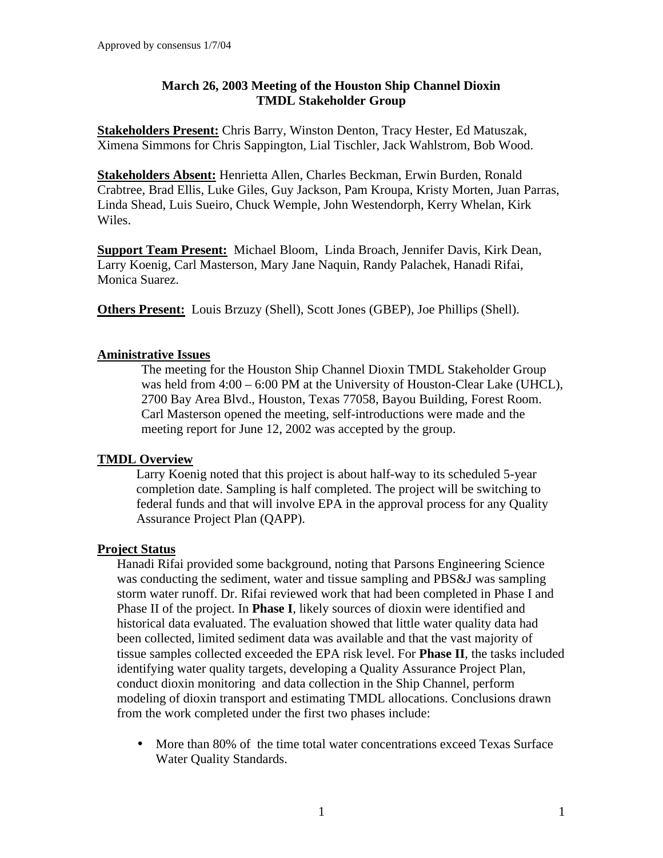### **March 26, 2003 Meeting of the Houston Ship Channel Dioxin TMDL Stakeholder Group**

**Stakeholders Present:** Chris Barry, Winston Denton, Tracy Hester, Ed Matuszak, Ximena Simmons for Chris Sappington, Lial Tischler, Jack Wahlstrom, Bob Wood.

**Stakeholders Absent:** Henrietta Allen, Charles Beckman, Erwin Burden, Ronald Crabtree, Brad Ellis, Luke Giles, Guy Jackson, Pam Kroupa, Kristy Morten, Juan Parras, Linda Shead, Luis Sueiro, Chuck Wemple, John Westendorph, Kerry Whelan, Kirk Wiles.

**Support Team Present:** Michael Bloom, Linda Broach, Jennifer Davis, Kirk Dean, Larry Koenig, Carl Masterson, Mary Jane Naquin, Randy Palachek, Hanadi Rifai, Monica Suarez.

**Others Present:** Louis Brzuzy (Shell), Scott Jones (GBEP), Joe Phillips (Shell).

## **Aministrative Issues**

The meeting for the Houston Ship Channel Dioxin TMDL Stakeholder Group was held from 4:00 – 6:00 PM at the University of Houston-Clear Lake (UHCL), 2700 Bay Area Blvd., Houston, Texas 77058, Bayou Building, Forest Room. Carl Masterson opened the meeting, self-introductions were made and the meeting report for June 12, 2002 was accepted by the group.

# **TMDL Overview**

Larry Koenig noted that this project is about half-way to its scheduled 5-year completion date. Sampling is half completed. The project will be switching to federal funds and that will involve EPA in the approval process for any Quality Assurance Project Plan (QAPP).

### **Project Status**

Hanadi Rifai provided some background, noting that Parsons Engineering Science was conducting the sediment, water and tissue sampling and PBS&J was sampling storm water runoff. Dr. Rifai reviewed work that had been completed in Phase I and Phase II of the project. In **Phase I**, likely sources of dioxin were identified and historical data evaluated. The evaluation showed that little water quality data had been collected, limited sediment data was available and that the vast majority of tissue samples collected exceeded the EPA risk level. For **Phase II**, the tasks included identifying water quality targets, developing a Quality Assurance Project Plan, conduct dioxin monitoring and data collection in the Ship Channel, perform modeling of dioxin transport and estimating TMDL allocations. Conclusions drawn from the work completed under the first two phases include:

• More than 80% of the time total water concentrations exceed Texas Surface Water Quality Standards.